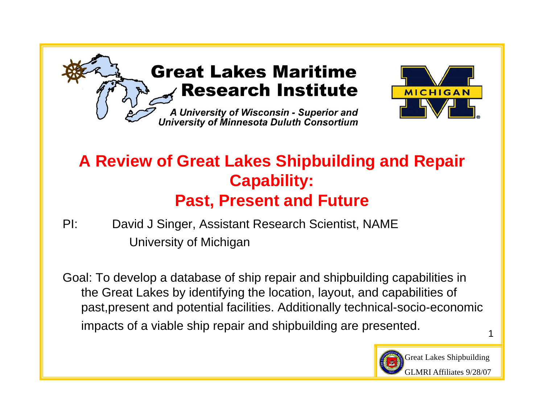

#### **Great Lakes Maritime Research Institute**

A University of Wisconsin - Superior and University of Minnesota Duluth Consortium



#### **A Review of Great Lakes Shipbuilding and Repair Capability: Past, Present and Future**

PI: David J Singer, Assistant Research Scientist, NAME University of Michigan

Goal: To develop a database of ship repair and shipbuilding capabilities in the Great Lakes by identifying the location, layout, and capabilities of past,present and potential facilities. Additionally technical-socio-economic impacts of a viable ship repair and shipbuilding are presented.



Great Lakes Shipbuilding GLMRI Affiliates 9/28/07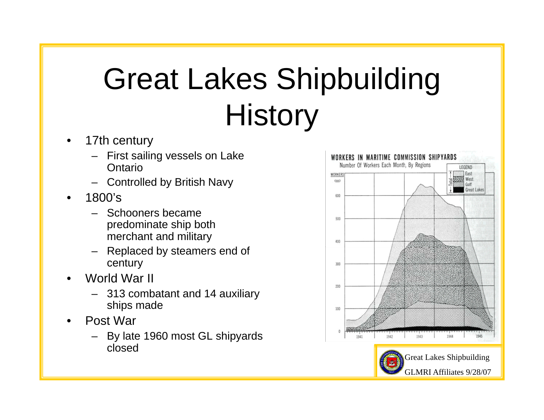#### Great Lakes Shipbuilding Histor y

- • 17th century
	- First sailing vessels on Lake **Ontario**
	- Controlled by British Navy
- • 1800's
	- Schooners became predominate ship both merchant and military
	- Replaced by steamers end of century
- • World War II
	- 313 combatant and 14 auxiliary ships made
- • Post War
	- By late 1960 most GL shipyards closed

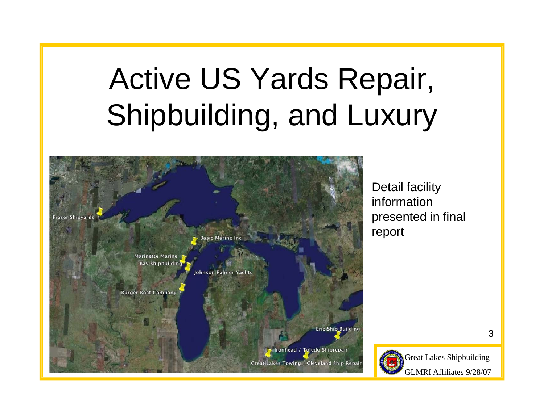## Active US Yards Repair, Shipbuilding, and Luxury



Detail facility information presented in final re port



Great Lakes Shipbuilding GLMRI Affiliates 9/28/07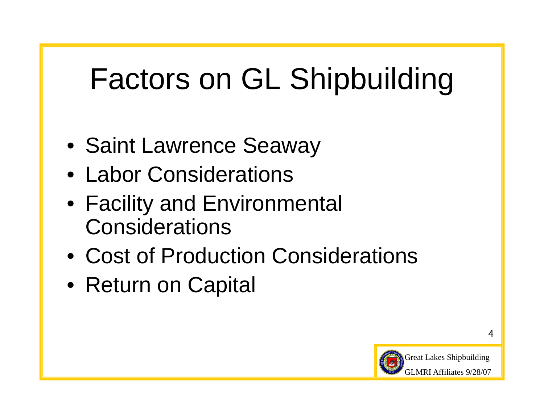## Factors on GL Shipbuilding

- Saint Lawrence Seaway
- Labor Considerations
- Facility and Environmental **Considerations**
- Cost of Production Considerations
- Return on Capital

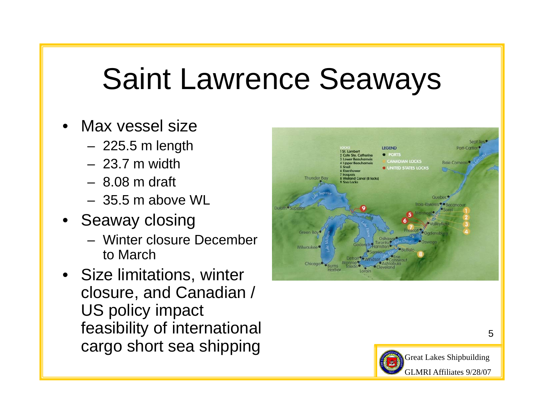## Saint Lawrence Seaways

- • Max vessel size
	- 225.5 m length
	- 23.7 m width
	- 8.08 m draft
	- 35.5 m above WL
- Seaway closing
	- Winter closure December to March
- Size limitations, winter closure, and Canadian / US policy impact feasibility of international cargo short sea shipping



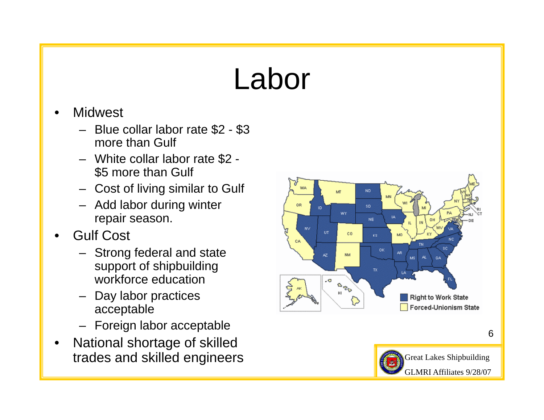### Labor

- •**Midwest** 
	- Blue collar labor rate \$2 \$3 more than Gulf
	- White collar labor rate \$2 \$5 more than Gulf
	- Cost of living similar to Gulf
	- Add labor during winter repair season.
- • Gulf Cost
	- Strong federal and state support of shipbuilding workforce education
	- Day labor practices acceptable
	- Foreign labor acceptable
- • National shortage of skilled trades and skilled engineers

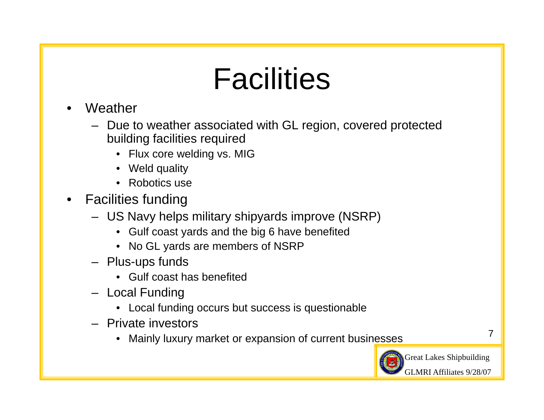## **Facilities**

- • Weather
	- Due to weather associated with GL region, covered protected building facilities required
		- Flux core welding vs. MIG
		- Weld quality
		- Robotics use\_\_\_
- • Facilities funding
	- US Navy helps military shipyards improve (NSRP)
		- $\bullet$  Gulf coast yards and the big 6 have benefited
		- No GL yards are members of NSRP
	- Plus-ups funds
		- Gulf coast has benefited
	- Local Funding
		- Local funding occurs but success is questionable
	- Private investors
		- Mainly luxury market or expansion of current businesses



Great Lakes Shipbuilding GLMRI Affiliates 9/28/07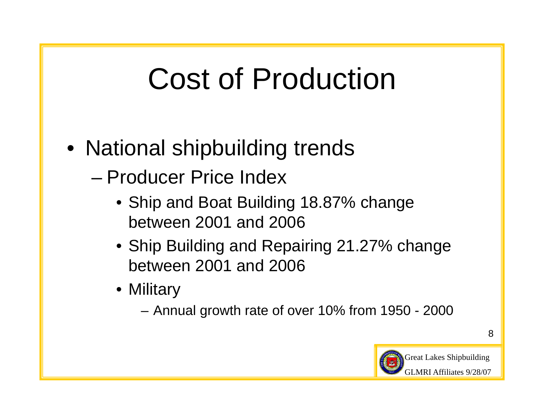## Cost of Production

- National shipbuilding trends
	- Producer Price Index
		- Ship and Boat Building 18.87% change between 2001 and 2006
		- Ship Building and Repairing 21.27% change between 2001 and 2006
		- Military
			- Annual growth rate of over 10% from 1950 2000

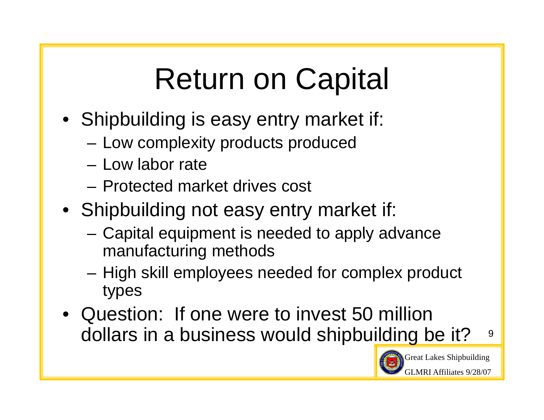# Return on Capital

- Shipbuilding is easy entry market if:
	- Low complexity products produced
	- Low labor rate
	- Protected market drives cost
- Shipbuilding not easy entry market if:
	- $-$  Capital equipment is needed to apply advance manufacturing methods
	- High skill employees needed for complex product types
- 9 • Question: If one were to invest 50 million dollars in a business would shipbu<u>ilding be it?</u>

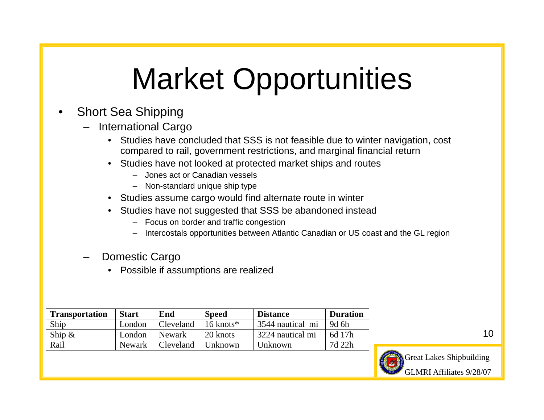## Market Opportunities

- • Short Sea Shipping
	- International Cargo
		- Studies have concluded that SSS is not feasible due to winter navigation, cost compared to rail, government restrictions, and marginal financial return
		- Studies have not looked at protected market ships and routes
			- Jones act or Canadian vessels
			- Non-standard unique ship type
		- Studies assume cargo would find alternate route in winter
		- Studies have not suggested that SSS be abandoned instead
			- Focus on border and traffic congestion
			- Intercostals opportunities between Atlantic Canadian or US coast and the GL region
	- Domestic Cargo
		- Possible if assumptions are realized

| <b>Transportation</b> | <b>Start</b> | End       | <b>Speed</b>            | <b>Distance</b>  | <b>Duration</b> |
|-----------------------|--------------|-----------|-------------------------|------------------|-----------------|
| Ship                  | London       | Cleveland | $16$ knots <sup>*</sup> | 3544 nautical mi | 9d 6h           |
| Ship $\&$             | London       | Newark    | 20 knots                | 3224 nautical mi | 6d 17h          |
| Rail                  | Newark       | Cleveland | Unknown                 | Unknown          | 7d 22h          |

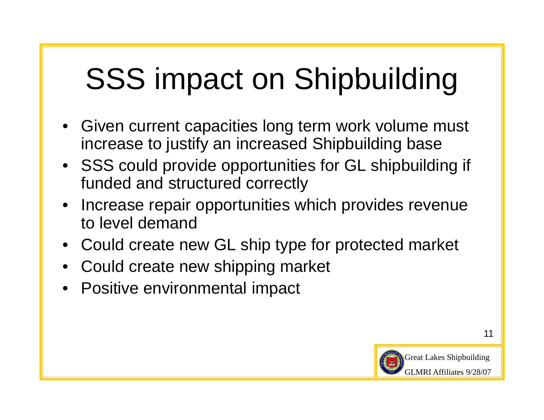# SSS impact on Shipbuilding

- Given current capacities long term work volume must increase to justify an increased Shipbuilding base
- SSS could provide opportunities for GL shipbuilding if funded and structured correctly
- Increase repair opportunities which provides revenue to level demand
- Could create new GL ship type for protected market
- Could create new shipping market
- Positive environmental impact

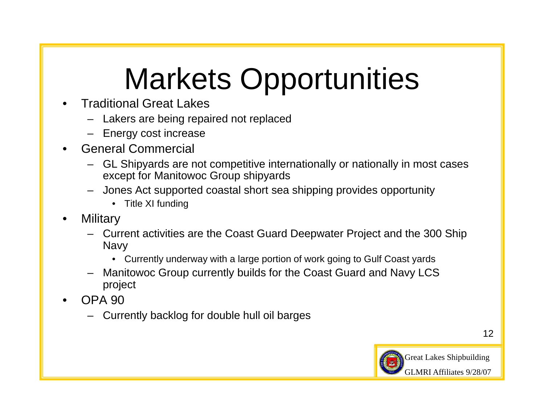# Markets Opportunities

- • Traditional Great Lakes
	- Lakers are being repaired not replaced
	- Energy cost increase
- • General Commercial
	- GL Shipyards are not competitive internationally or nationally in most cases except for Manitowoc Group shipyards
	- Jones Act supported coastal short sea shipping provides opportunity
		- Title XI funding
- •**Military** 
	- Current activities are the Coast Guard Deepwater Project and the 300 Ship Navy
		- •Currently underway with a large portion of work going to Gulf Coast yards
	- Manitowoc Group currently builds for the Coast Guard and Navy LCS project
- • OPA 90
	- Currently backlog for double hull oil barges

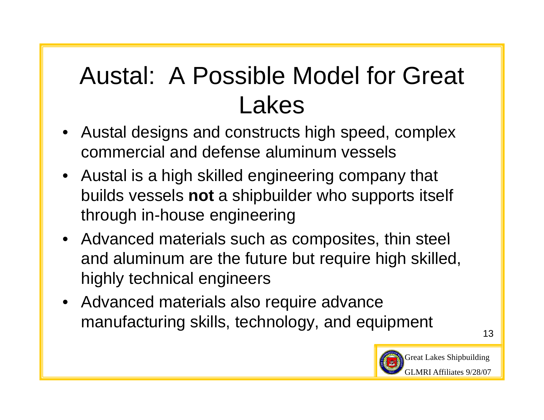### Austal: A Possible Model for Great Lakes

- $\bullet~$  Austal designs and constructs high speed, complex commercial and defense aluminum vessels
- Austal is a high skilled engineering company that builds vessels **not** a shipbuilder who supports itself through in-house engineering
- Advanced materials such as composites, thin steel and aluminum are the future but require high skilled, highly technical engineers
- Advanced materials also require advance manufacturing skills, technology, and equipment

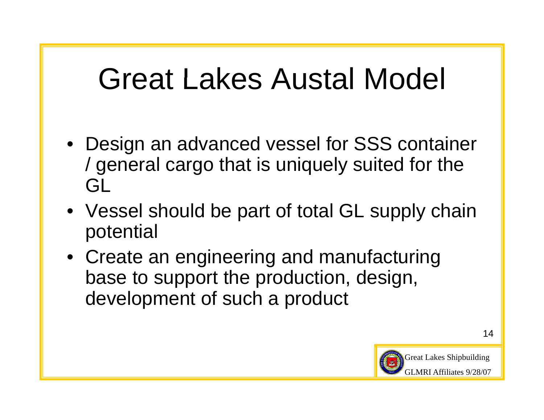## Great Lakes Austal Model

- Design an advanced vessel for SSS container / general cargo that is uniquely suited for the GL
- Vessel should be part of total GL supply chain potential
- Create an engineering and manufacturing base to support the production, design, development of such a product

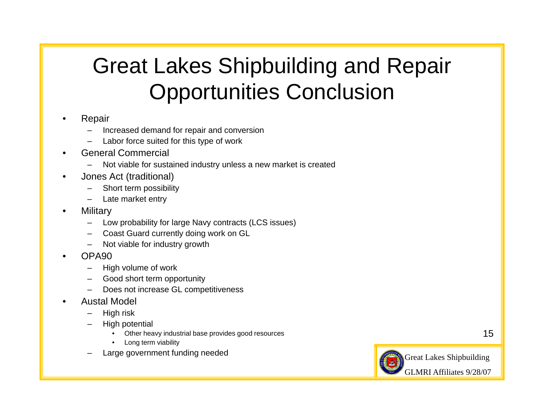#### Great Lakes Shipbuildin g and Repair Opportunities Conclusion

- • Repair
	- Increased demand for repair and conversion
	- Labor force suited for this type of work
- • General Commercial
	- Not viable for sustained industry unless a new market is created
- • Jones Act (traditional)
	- Short term possibility
	- Late market entry
- •**Military** 
	- Low probability for large Navy contracts (LCS issues)
	- Coast Guard currently doing work on GL
	- Not viable for industry growth
- • OPA90
	- High volume of work
	- Good short term opportunity
	- Does not increase GL competitiveness
- • Austal Model
	- High risk
	- High potential
		- •Other heavy industrial base provides good resources
		- •Long term viability
	- Large government funding needed